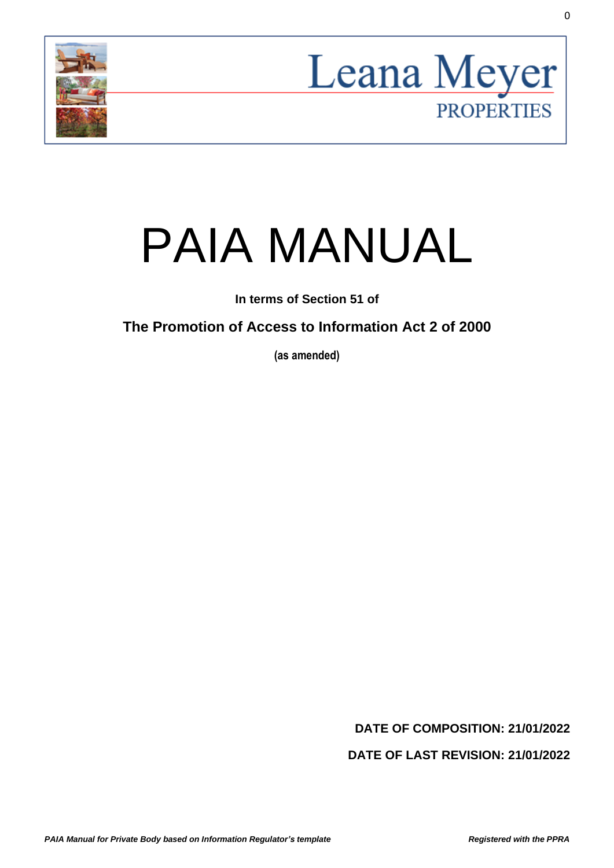



# PAIA MANUAL

**In terms of Section 51 of**

**The Promotion of Access to Information Act 2 of 2000**

**(as amended)**

**DATE OF COMPOSITION: 21/01/2022**

**DATE OF LAST REVISION: 21/01/2022**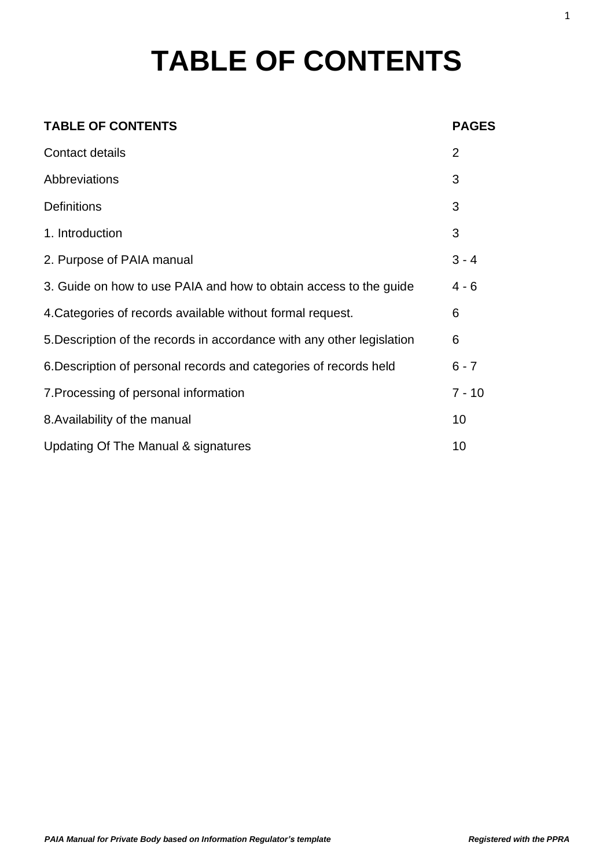# **TABLE OF CONTENTS**

| <b>TABLE OF CONTENTS</b>                                               | <b>PAGES</b>   |
|------------------------------------------------------------------------|----------------|
| Contact details                                                        | $\overline{2}$ |
| Abbreviations                                                          | 3              |
| <b>Definitions</b>                                                     | 3              |
| 1. Introduction                                                        | 3              |
| 2. Purpose of PAIA manual                                              | $3 - 4$        |
| 3. Guide on how to use PAIA and how to obtain access to the guide      | $4 - 6$        |
| 4. Categories of records available without formal request.             | 6              |
| 5. Description of the records in accordance with any other legislation | 6              |
| 6. Description of personal records and categories of records held      | $6 - 7$        |
| 7. Processing of personal information                                  | $7 - 10$       |
| 8. Availability of the manual                                          | 10             |
| Updating Of The Manual & signatures                                    | 10             |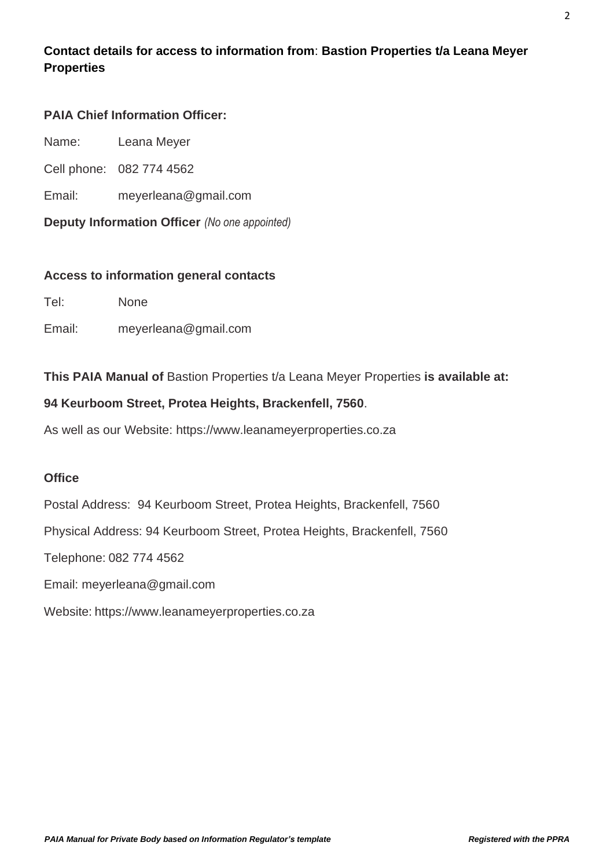# **Contact details for access to information from**: **Bastion Properties t/a Leana Meyer Properties**

#### **PAIA Chief Information Officer:**

- Name: Leana Meyer
- Cell phone: 082 774 4562
- Email: meyerleana@gmail.com
- **Deputy Information Officer** *(No one appointed)*

#### **Access to information general contacts**

Tel: None

Email: meyerleana@gmail.com

#### **This PAIA Manual of** Bastion Properties t/a Leana Meyer Properties **is available at:**

#### **94 Keurboom Street, Protea Heights, Brackenfell, 7560**.

As well as our Website: https://www.leanameyerproperties.co.za

#### **Office**

Postal Address: 94 Keurboom Street, Protea Heights, Brackenfell, 7560 Physical Address: 94 Keurboom Street, Protea Heights, Brackenfell, 7560 Telephone: 082 774 4562 Email: meyerleana@gmail.com

Website: https://www.leanameyerproperties.co.za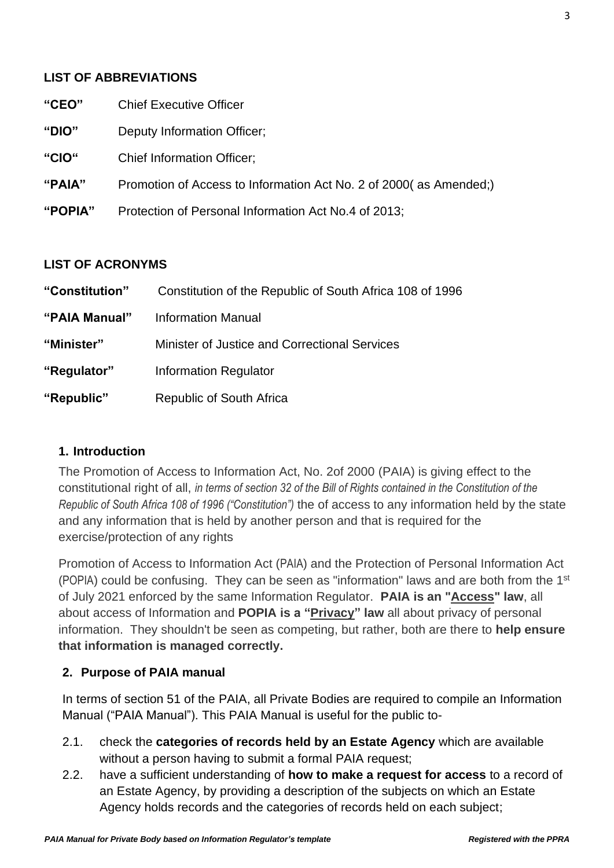#### **LIST OF ABBREVIATIONS**

| "CEO"   | <b>Chief Executive Officer</b>                                    |
|---------|-------------------------------------------------------------------|
| "DIO"   | Deputy Information Officer;                                       |
| "CIO"   | <b>Chief Information Officer;</b>                                 |
| "PAIA"  | Promotion of Access to Information Act No. 2 of 2000(as Amended;) |
| "POPIA" | Protection of Personal Information Act No.4 of 2013;              |
|         |                                                                   |

#### **LIST OF ACRONYMS**

| "Constitution" | Constitution of the Republic of South Africa 108 of 1996 |
|----------------|----------------------------------------------------------|
| "PAIA Manual"  | <b>Information Manual</b>                                |
| "Minister"     | Minister of Justice and Correctional Services            |
| "Regulator"    | <b>Information Regulator</b>                             |
| "Republic"     | Republic of South Africa                                 |

#### **1. Introduction**

The Promotion of Access to Information Act, No. 2of 2000 (PAIA) is giving effect to the constitutional right of all, *in terms of section 32 of the Bill of Rights contained in the Constitution of the Republic of South Africa 108 of 1996 ("Constitution")* the of access to any information held by the state and any information that is held by another person and that is required for the exercise/protection of any rights

Promotion of Access to Information Act (PAIA) and the Protection of Personal Information Act (POPIA) could be confusing. They can be seen as "information" laws and are both from the 1<sup>st</sup> of July 2021 enforced by the same Information Regulator. **PAIA is an "Access" law**, all about access of Information and **POPIA is a "Privacy" law** all about privacy of personal information. They shouldn't be seen as competing, but rather, both are there to **help ensure that information is managed correctly.**

#### **2. Purpose of PAIA manual**

In terms of section 51 of the PAIA, all Private Bodies are required to compile an Information Manual ("PAIA Manual"). This PAIA Manual is useful for the public to-

- 2.1. check the **categories of records held by an Estate Agency** which are available without a person having to submit a formal PAIA request;
- 2.2. have a sufficient understanding of **how to make a request for access** to a record of an Estate Agency, by providing a description of the subjects on which an Estate Agency holds records and the categories of records held on each subject;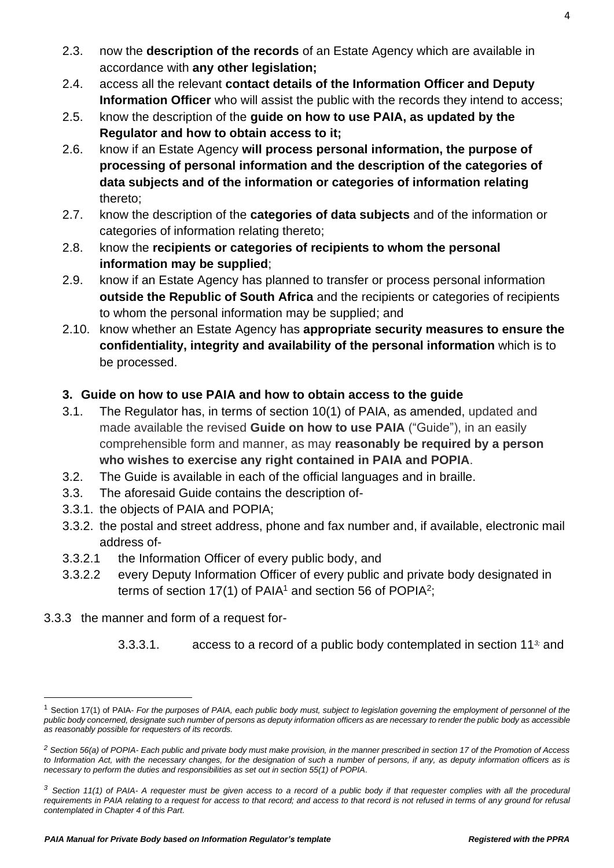- 2.3. now the **description of the records** of an Estate Agency which are available in accordance with **any other legislation;**
- 2.4. access all the relevant **contact details of the Information Officer and Deputy Information Officer** who will assist the public with the records they intend to access:
- 2.5. know the description of the **guide on how to use PAIA, as updated by the Regulator and how to obtain access to it;**
- 2.6. know if an Estate Agency **will process personal information, the purpose of processing of personal information and the description of the categories of data subjects and of the information or categories of information relating** thereto;
- 2.7. know the description of the **categories of data subjects** and of the information or categories of information relating thereto;
- 2.8. know the **recipients or categories of recipients to whom the personal information may be supplied**;
- 2.9. know if an Estate Agency has planned to transfer or process personal information **outside the Republic of South Africa** and the recipients or categories of recipients to whom the personal information may be supplied; and
- 2.10. know whether an Estate Agency has **appropriate security measures to ensure the confidentiality, integrity and availability of the personal information** which is to be processed.

# **3. Guide on how to use PAIA and how to obtain access to the guide**

- 3.1. The Regulator has, in terms of section 10(1) of PAIA, as amended, updated and made available the revised **Guide on how to use PAIA** ("Guide"), in an easily comprehensible form and manner, as may **reasonably be required by a person who wishes to exercise any right contained in PAIA and POPIA**.
- 3.2. The Guide is available in each of the official languages and in braille.
- 3.3. The aforesaid Guide contains the description of-
- 3.3.1. the objects of PAIA and POPIA;
- 3.3.2. the postal and street address, phone and fax number and, if available, electronic mail address of-
- 3.3.2.1 the Information Officer of every public body, and
- 3.3.2.2 every Deputy Information Officer of every public and private body designated in terms of section 17(1) of PAIA<sup>1</sup> and section 56 of POPIA<sup>2</sup>;
- 3.3.3 the manner and form of a request for-
	- 3.3.3.1. access to a record of a public body contemplated in section 11*3;* and

<sup>1</sup> Section 17(1) of PAIA- *For the purposes of PAIA, each public body must, subject to legislation governing the employment of personnel of the public body concerned, designate such number of persons as deputy information officers as are necessary to render the public body as accessible as reasonably possible for requesters of its records.*

*<sup>2</sup> Section 56(a) of POPIA- Each public and private body must make provision, in the manner prescribed in section 17 of the Promotion of Access*  to Information Act, with the necessary changes, for the designation of such a number of persons, if any, as deputy information officers as is *necessary to perform the duties and responsibilities as set out in section 55(1) of POPIA.*

*<sup>3</sup> Section 11(1) of PAIA- A requester must be given access to a record of a public body if that requester complies with all the procedural requirements in PAIA relating to a request for access to that record; and access to that record is not refused in terms of any ground for refusal contemplated in Chapter 4 of this Part.*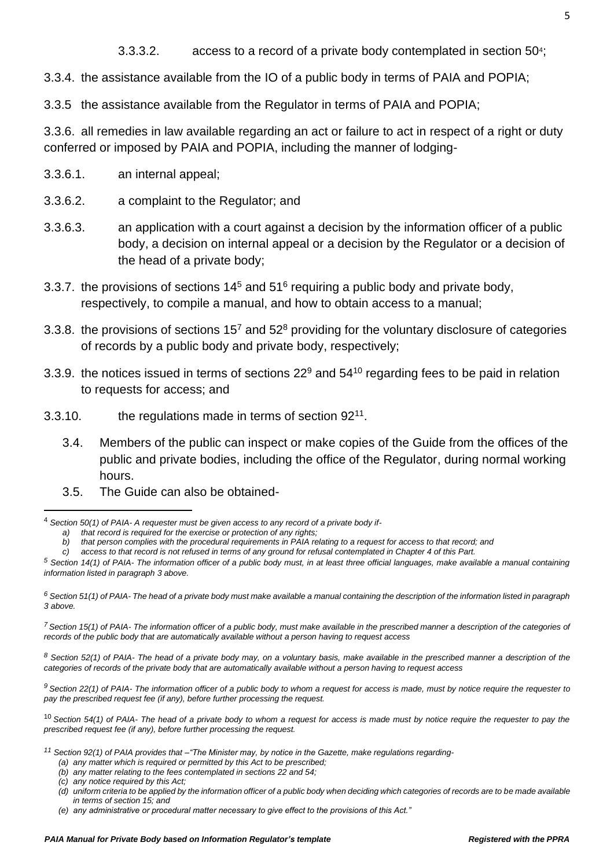3.3.4. the assistance available from the IO of a public body in terms of PAIA and POPIA;

3.3.5 the assistance available from the Regulator in terms of PAIA and POPIA;

3.3.6. all remedies in law available regarding an act or failure to act in respect of a right or duty conferred or imposed by PAIA and POPIA, including the manner of lodging-

- 3.3.6.1. an internal appeal;
- 3.3.6.2. a complaint to the Regulator; and
- 3.3.6.3. an application with a court against a decision by the information officer of a public body, a decision on internal appeal or a decision by the Regulator or a decision of the head of a private body;
- 3.3.7. the provisions of sections  $14<sup>5</sup>$  and  $51<sup>6</sup>$  requiring a public body and private body, respectively, to compile a manual, and how to obtain access to a manual;
- 3.3.8. the provisions of sections  $15<sup>7</sup>$  and  $52<sup>8</sup>$  providing for the voluntary disclosure of categories of records by a public body and private body, respectively;
- 3.3.9. the notices issued in terms of sections  $22^9$  and  $54^{10}$  regarding fees to be paid in relation to requests for access; and
- 3.3.10.  $\qquad$  the regulations made in terms of section  $92^{11}$ .
	- 3.4. Members of the public can inspect or make copies of the Guide from the offices of the public and private bodies, including the office of the Regulator, during normal working hours.
	- 3.5. The Guide can also be obtained-

*<sup>7</sup> Section 15(1) of PAIA- The information officer of a public body, must make available in the prescribed manner a description of the categories of records of the public body that are automatically available without a person having to request access*

*<sup>8</sup> Section 52(1) of PAIA- The head of a private body may, on a voluntary basis, make available in the prescribed manner a description of the categories of records of the private body that are automatically available without a person having to request access*

*<sup>9</sup> Section 22(1) of PAIA- The information officer of a public body to whom a request for access is made, must by notice require the requester to pay the prescribed request fee (if any), before further processing the request.*

<sup>10</sup> *Section 54(1) of PAIA- The head of a private body to whom a request for access is made must by notice require the requester to pay the prescribed request fee (if any), before further processing the request.*

<sup>4</sup> *Section 50(1) of PAIA- A requester must be given access to any record of a private body if-*

*a) that record is required for the exercise or protection of any rights;*

*b) that person complies with the procedural requirements in PAIA relating to a request for access to that record; and*

*c) access to that record is not refused in terms of any ground for refusal contemplated in Chapter 4 of this Part.*

*<sup>5</sup> Section 14(1) of PAIA- The information officer of a public body must, in at least three official languages, make available a manual containing information listed in paragraph 3 above.*

*<sup>6</sup> Section 51(1) of PAIA- The head of a private body must make available a manual containing the description of the information listed in paragraph 3 above.*

*<sup>11</sup> Section 92(1) of PAIA provides that –"The Minister may, by notice in the Gazette, make regulations regarding-*

*<sup>(</sup>a) any matter which is required or permitted by this Act to be prescribed;*

*<sup>(</sup>b) any matter relating to the fees contemplated in sections 22 and 54;*

*<sup>(</sup>c) any notice required by this Act;*

*<sup>(</sup>d) uniform criteria to be applied by the information officer of a public body when deciding which categories of records are to be made available in terms of section 15; and*

*<sup>(</sup>e) any administrative or procedural matter necessary to give effect to the provisions of this Act."*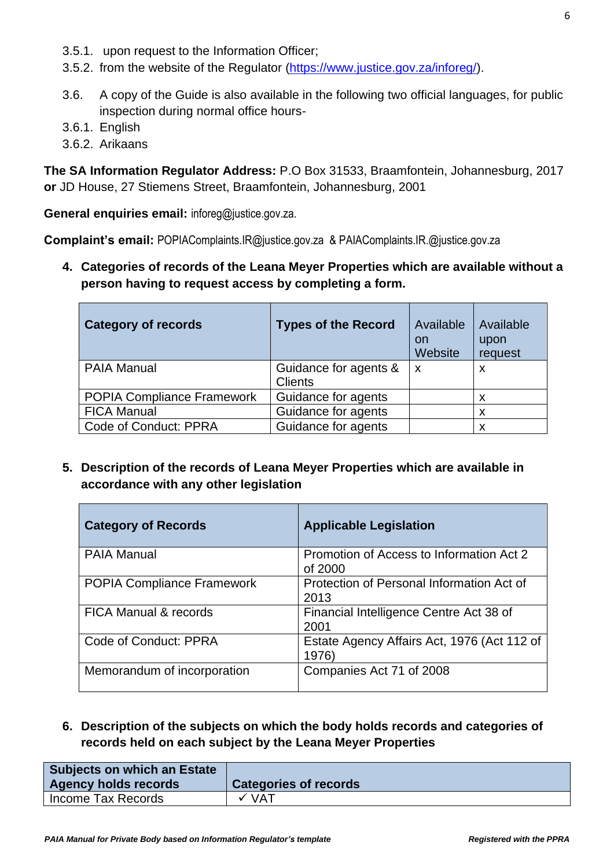- 3.5.1. upon request to the Information Officer;
- 3.5.2. from the website of the Regulator [\(https://www.justice.gov.za/inforeg/\)](https://www.justice.gov.za/inforeg/).
- 3.6. A copy of the Guide is also available in the following two official languages, for public inspection during normal office hours-
- 3.6.1. English
- 3.6.2. Arikaans

**The SA Information Regulator Address:** P.O Box 31533, Braamfontein, Johannesburg, 2017 **or** JD House, 27 Stiemens Street, Braamfontein, Johannesburg, 2001

**General enquiries email:** inforeg@justice.gov.za.

**Complaint's email:** POPIAComplaints.IR@justice.gov.za & PAIAComplaints.IR.@justice.gov.za

**4. Categories of records of the Leana Meyer Properties which are available without a person having to request access by completing a form.**

| <b>Category of records</b>        | <b>Types of the Record</b> | Available<br><b>on</b><br>Website | Available<br>upon<br>request |
|-----------------------------------|----------------------------|-----------------------------------|------------------------------|
| <b>PAIA Manual</b>                | Guidance for agents &      | $\boldsymbol{\mathsf{x}}$         | X                            |
|                                   | <b>Clients</b>             |                                   |                              |
| <b>POPIA Compliance Framework</b> | Guidance for agents        |                                   | X                            |
| <b>FICA Manual</b>                | Guidance for agents        |                                   | X                            |
| Code of Conduct: PPRA             | Guidance for agents        |                                   | X                            |

**5. Description of the records of Leana Meyer Properties which are available in accordance with any other legislation**

| <b>Category of Records</b>        | <b>Applicable Legislation</b>                        |
|-----------------------------------|------------------------------------------------------|
| <b>PAIA Manual</b>                | Promotion of Access to Information Act 2<br>of 2000  |
| <b>POPIA Compliance Framework</b> | Protection of Personal Information Act of<br>2013    |
| <b>FICA Manual &amp; records</b>  | Financial Intelligence Centre Act 38 of<br>2001      |
| Code of Conduct: PPRA             | Estate Agency Affairs Act, 1976 (Act 112 of<br>1976) |
| Memorandum of incorporation       | Companies Act 71 of 2008                             |

**6. Description of the subjects on which the body holds records and categories of records held on each subject by the Leana Meyer Properties**

| <b>Subjects on which an Estate</b><br><b>Agency holds records</b> | <b>Categories of records</b> |
|-------------------------------------------------------------------|------------------------------|
| Income Tax Records                                                | $\checkmark$ VAT             |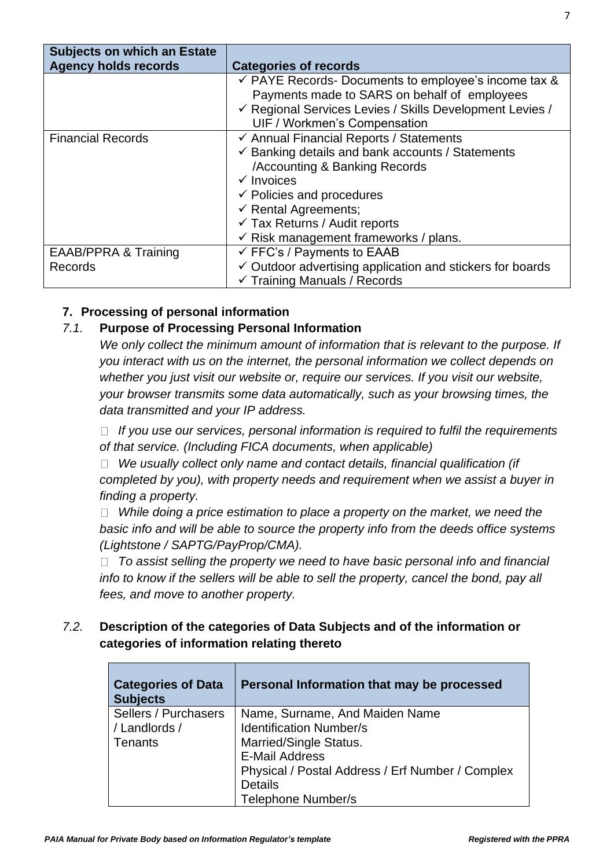| <b>Subjects on which an Estate</b><br><b>Agency holds records</b> | <b>Categories of records</b>                                                                                                                                                                                                                                                                                                                |
|-------------------------------------------------------------------|---------------------------------------------------------------------------------------------------------------------------------------------------------------------------------------------------------------------------------------------------------------------------------------------------------------------------------------------|
|                                                                   | $\checkmark$ PAYE Records- Documents to employee's income tax &<br>Payments made to SARS on behalf of employees<br>√ Regional Services Levies / Skills Development Levies /<br>UIF / Workmen's Compensation                                                                                                                                 |
| <b>Financial Records</b>                                          | ← Annual Financial Reports / Statements<br>$\checkmark$ Banking details and bank accounts / Statements<br>/Accounting & Banking Records<br>$\checkmark$ Invoices<br>$\checkmark$ Policies and procedures<br>$\checkmark$ Rental Agreements;<br>$\checkmark$ Tax Returns / Audit reports<br>$\checkmark$ Risk management frameworks / plans. |
| <b>EAAB/PPRA &amp; Training</b><br>Records                        | $\checkmark$ FFC's / Payments to EAAB<br>$\checkmark$ Outdoor advertising application and stickers for boards<br>$\checkmark$ Training Manuals / Records                                                                                                                                                                                    |

# **7. Processing of personal information**

# *7.1.* **Purpose of Processing Personal Information**

*We only collect the minimum amount of information that is relevant to the purpose. If you interact with us on the internet, the personal information we collect depends on whether you just visit our website or, require our services. If you visit our website, your browser transmits some data automatically, such as your browsing times, the data transmitted and your IP address.*

*If you use our services, personal information is required to fulfil the requirements of that service. (Including FICA documents, when applicable)*

*We usually collect only name and contact details, financial qualification (if completed by you), with property needs and requirement when we assist a buyer in finding a property.*

□ While doing a price estimation to place a property on the market, we need the *basic info and will be able to source the property info from the deeds office systems (Lightstone / SAPTG/PayProp/CMA).* 

*To assist selling the property we need to have basic personal info and financial*  info to know if the sellers will be able to sell the property, cancel the bond, pay all *fees, and move to another property.*

# *7.2.* **Description of the categories of Data Subjects and of the information or categories of information relating thereto**

| <b>Categories of Data</b><br><b>Subjects</b> | Personal Information that may be processed       |
|----------------------------------------------|--------------------------------------------------|
| Sellers / Purchasers                         | Name, Surname, And Maiden Name                   |
| / Landlords /                                | <b>Identification Number/s</b>                   |
| <b>Tenants</b>                               | Married/Single Status.                           |
|                                              | <b>E-Mail Address</b>                            |
|                                              | Physical / Postal Address / Erf Number / Complex |
|                                              | <b>Details</b>                                   |
|                                              | <b>Telephone Number/s</b>                        |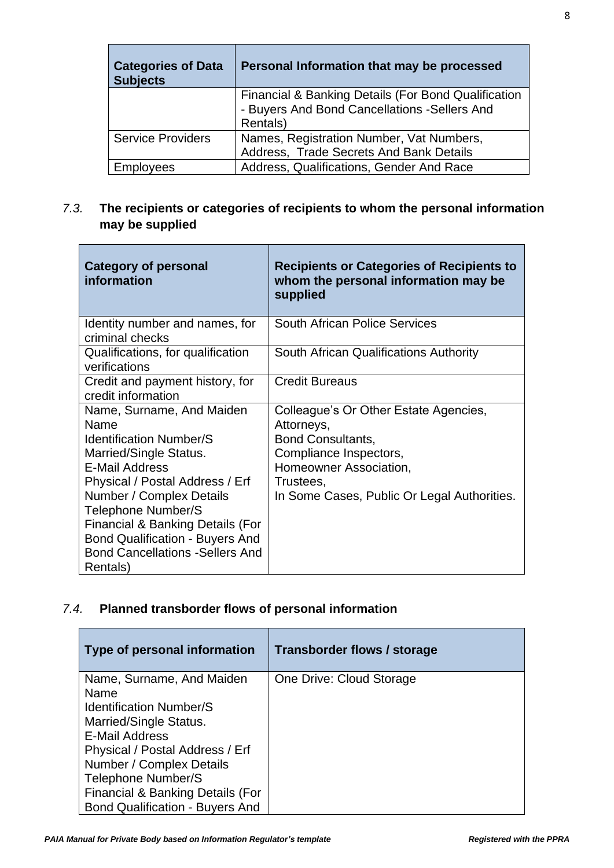| <b>Categories of Data</b><br><b>Subjects</b> | Personal Information that may be processed                                                                       |
|----------------------------------------------|------------------------------------------------------------------------------------------------------------------|
|                                              | Financial & Banking Details (For Bond Qualification<br>- Buyers And Bond Cancellations - Sellers And<br>Rentals) |
| <b>Service Providers</b>                     | Names, Registration Number, Vat Numbers,<br>Address, Trade Secrets And Bank Details                              |
| Employees                                    | Address, Qualifications, Gender And Race                                                                         |

# *7.3.* **The recipients or categories of recipients to whom the personal information may be supplied**

| <b>Category of personal</b><br>information                                                                                                                                                                                                                                                                                                              | <b>Recipients or Categories of Recipients to</b><br>whom the personal information may be<br>supplied                                                                                     |
|---------------------------------------------------------------------------------------------------------------------------------------------------------------------------------------------------------------------------------------------------------------------------------------------------------------------------------------------------------|------------------------------------------------------------------------------------------------------------------------------------------------------------------------------------------|
| Identity number and names, for<br>criminal checks                                                                                                                                                                                                                                                                                                       | <b>South African Police Services</b>                                                                                                                                                     |
| Qualifications, for qualification<br>verifications                                                                                                                                                                                                                                                                                                      | South African Qualifications Authority                                                                                                                                                   |
| Credit and payment history, for<br>credit information                                                                                                                                                                                                                                                                                                   | <b>Credit Bureaus</b>                                                                                                                                                                    |
| Name, Surname, And Maiden<br>Name<br><b>Identification Number/S</b><br>Married/Single Status.<br><b>E-Mail Address</b><br>Physical / Postal Address / Erf<br>Number / Complex Details<br><b>Telephone Number/S</b><br>Financial & Banking Details (For<br><b>Bond Qualification - Buyers And</b><br><b>Bond Cancellations - Sellers And</b><br>Rentals) | Colleague's Or Other Estate Agencies,<br>Attorneys,<br>Bond Consultants,<br>Compliance Inspectors,<br>Homeowner Association,<br>Trustees,<br>In Some Cases, Public Or Legal Authorities. |

# *7.4.* **Planned transborder flows of personal information**

 $\blacksquare$ 

| Type of personal information           | Transborder flows / storage |
|----------------------------------------|-----------------------------|
| Name, Surname, And Maiden              | One Drive: Cloud Storage    |
| Name                                   |                             |
| <b>Identification Number/S</b>         |                             |
| Married/Single Status.                 |                             |
| <b>E-Mail Address</b>                  |                             |
| Physical / Postal Address / Erf        |                             |
| Number / Complex Details               |                             |
| <b>Telephone Number/S</b>              |                             |
| Financial & Banking Details (For       |                             |
| <b>Bond Qualification - Buyers And</b> |                             |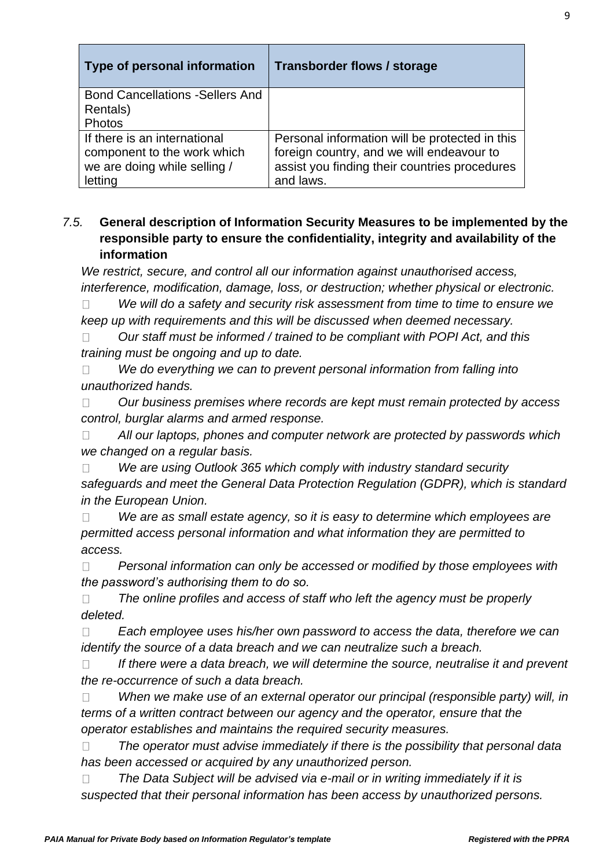| Type of personal information            | <b>Transborder flows / storage</b>             |
|-----------------------------------------|------------------------------------------------|
| <b>Bond Cancellations - Sellers And</b> |                                                |
| Rentals)                                |                                                |
| Photos                                  |                                                |
| If there is an international            | Personal information will be protected in this |
| component to the work which             | foreign country, and we will endeavour to      |
| we are doing while selling /            | assist you finding their countries procedures  |
| letting                                 | and laws.                                      |

# *7.5.* **General description of Information Security Measures to be implemented by the responsible party to ensure the confidentiality, integrity and availability of the information**

*We restrict, secure, and control all our information against unauthorised access, interference, modification, damage, loss, or destruction; whether physical or electronic.*

*We will do a safety and security risk assessment from time to time to ensure we*   $\Box$ *keep up with requirements and this will be discussed when deemed necessary.* 

*Our staff must be informed / trained to be compliant with POPI Act, and this*   $\Box$ *training must be ongoing and up to date.*

*We do everything we can to prevent personal information from falling into*   $\Box$ *unauthorized hands.* 

 $\Box$ *Our business premises where records are kept must remain protected by access control, burglar alarms and armed response.*

*All our laptops, phones and computer network are protected by passwords which*   $\Box$ *we changed on a regular basis.* 

*We are using Outlook 365 which comply with industry standard security*   $\Box$ *safeguards and meet the General Data Protection Regulation (GDPR), which is standard in the European Union.*

*We are as small estate agency, so it is easy to determine which employees are*   $\Box$ *permitted access personal information and what information they are permitted to access.* 

 $\Box$ *Personal information can only be accessed or modified by those employees with the password's authorising them to do so.*

*The online profiles and access of staff who left the agency must be properly*   $\Box$ *deleted.*

*Each employee uses his/her own password to access the data, therefore we can*   $\Box$ *identify the source of a data breach and we can neutralize such a breach.* 

*If there were a data breach, we will determine the source, neutralise it and prevent*   $\Box$ *the re-occurrence of such a data breach.*

*When we make use of an external operator our principal (responsible party) will, in*   $\Box$ *terms of a written contract between our agency and the operator, ensure that the operator establishes and maintains the required security measures.* 

*The operator must advise immediately if there is the possibility that personal data*   $\Box$ *has been accessed or acquired by any unauthorized person.*

*The Data Subject will be advised via e-mail or in writing immediately if it is*   $\Box$ *suspected that their personal information has been access by unauthorized persons.*